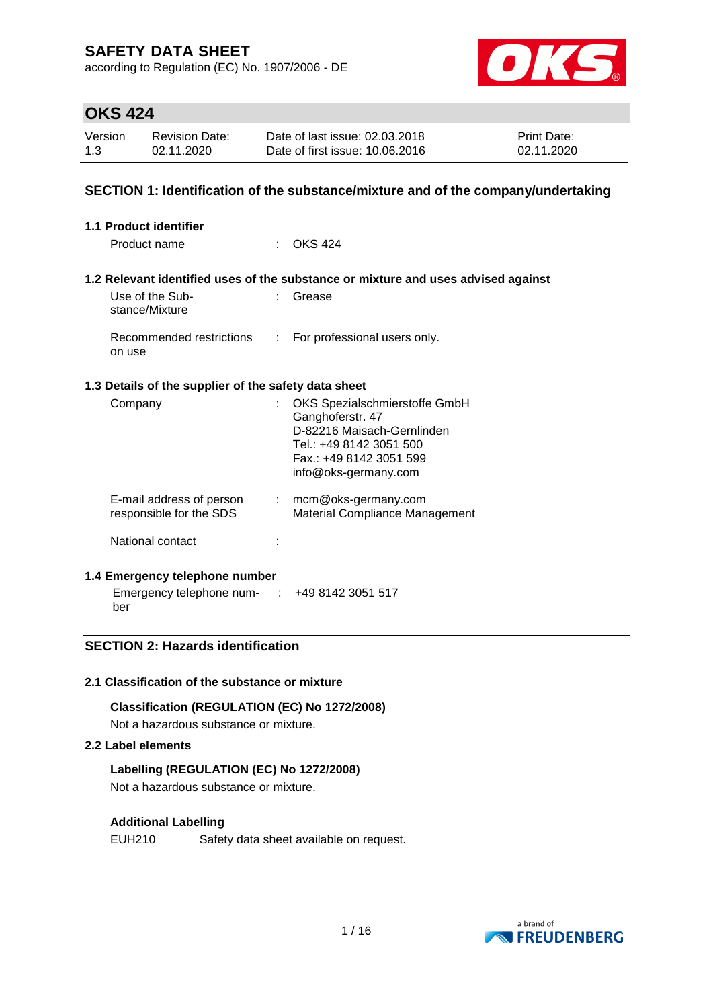according to Regulation (EC) No. 1907/2006 - DE



## **OKS 424**

| Version | <b>Revision Date:</b> | Date of last issue: 02.03.2018  | <b>Print Date:</b> |
|---------|-----------------------|---------------------------------|--------------------|
| 1.3     | 02.11.2020            | Date of first issue: 10.06.2016 | 02.11.2020         |

### **SECTION 1: Identification of the substance/mixture and of the company/undertaking**

| <b>1.1 Product identifier</b>                        |                             |                                                                                                                                                               |
|------------------------------------------------------|-----------------------------|---------------------------------------------------------------------------------------------------------------------------------------------------------------|
| Product name                                         |                             | <b>OKS 424</b>                                                                                                                                                |
|                                                      |                             |                                                                                                                                                               |
|                                                      |                             | 1.2 Relevant identified uses of the substance or mixture and uses advised against                                                                             |
| Use of the Sub-<br>stance/Mixture                    |                             | Grease                                                                                                                                                        |
| Recommended restrictions<br>on use                   | $\mathcal{L}^{\mathcal{L}}$ | For professional users only.                                                                                                                                  |
| 1.3 Details of the supplier of the safety data sheet |                             |                                                                                                                                                               |
| Company                                              |                             | OKS Spezialschmierstoffe GmbH<br>Ganghoferstr. 47<br>D-82216 Maisach-Gernlinden<br>Tel.: +49 8142 3051 500<br>Fax.: +49 8142 3051 599<br>info@oks-germany.com |
| E-mail address of person<br>responsible for the SDS  |                             | $:$ mcm@oks-germany.com<br>Material Compliance Management                                                                                                     |
| National contact                                     |                             |                                                                                                                                                               |
| 1.4 Emergency telephone number                       |                             |                                                                                                                                                               |

Emergency telephone num-: +49 8142 3051 517 ber

### **SECTION 2: Hazards identification**

#### **2.1 Classification of the substance or mixture**

#### **Classification (REGULATION (EC) No 1272/2008)**

Not a hazardous substance or mixture.

### **2.2 Label elements**

#### **Labelling (REGULATION (EC) No 1272/2008)**

Not a hazardous substance or mixture.

#### **Additional Labelling**

EUH210 Safety data sheet available on request.

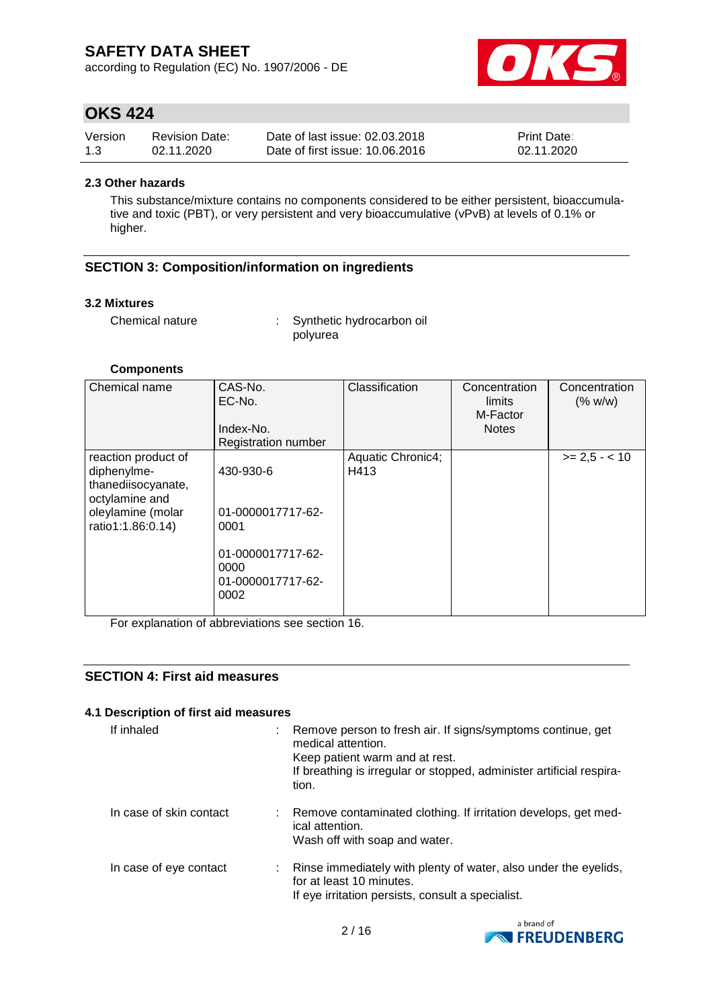according to Regulation (EC) No. 1907/2006 - DE



# **OKS 424**

| Version | <b>Revision Date:</b> | Date of last issue: 02.03.2018  | <b>Print Date:</b> |
|---------|-----------------------|---------------------------------|--------------------|
| 1.3     | 02.11.2020            | Date of first issue: 10.06.2016 | 02.11.2020         |

#### **2.3 Other hazards**

This substance/mixture contains no components considered to be either persistent, bioaccumulative and toxic (PBT), or very persistent and very bioaccumulative (vPvB) at levels of 0.1% or higher.

### **SECTION 3: Composition/information on ingredients**

#### **3.2 Mixtures**

Chemical nature : Synthetic hydrocarbon oil polyurea

#### **Components**

| Chemical name                                                                                                        | CAS-No.<br>EC-No.<br>Index-No.<br><b>Registration number</b>                                     | Classification            | Concentration<br>limits<br>M-Factor<br><b>Notes</b> | Concentration<br>(% w/w) |
|----------------------------------------------------------------------------------------------------------------------|--------------------------------------------------------------------------------------------------|---------------------------|-----------------------------------------------------|--------------------------|
| reaction product of<br>diphenylme-<br>thanediisocyanate,<br>octylamine and<br>oleylamine (molar<br>ratio1:1.86:0.14) | 430-930-6<br>01-0000017717-62-<br>0001<br>01-0000017717-62-<br>0000<br>01-0000017717-62-<br>0002 | Aquatic Chronic4;<br>H413 |                                                     | $>= 2.5 - < 10$          |

For explanation of abbreviations see section 16.

### **SECTION 4: First aid measures**

### **4.1 Description of first aid measures**

| If inhaled              | medical attention.<br>Keep patient warm and at rest.<br>tion.                 | : Remove person to fresh air. If signs/symptoms continue, get<br>If breathing is irregular or stopped, administer artificial respira- |
|-------------------------|-------------------------------------------------------------------------------|---------------------------------------------------------------------------------------------------------------------------------------|
| In case of skin contact | ical attention.<br>Wash off with soap and water.                              | : Remove contaminated clothing. If irritation develops, get med-                                                                      |
| In case of eye contact  | for at least 10 minutes.<br>If eye irritation persists, consult a specialist. | : Rinse immediately with plenty of water, also under the eyelids,                                                                     |

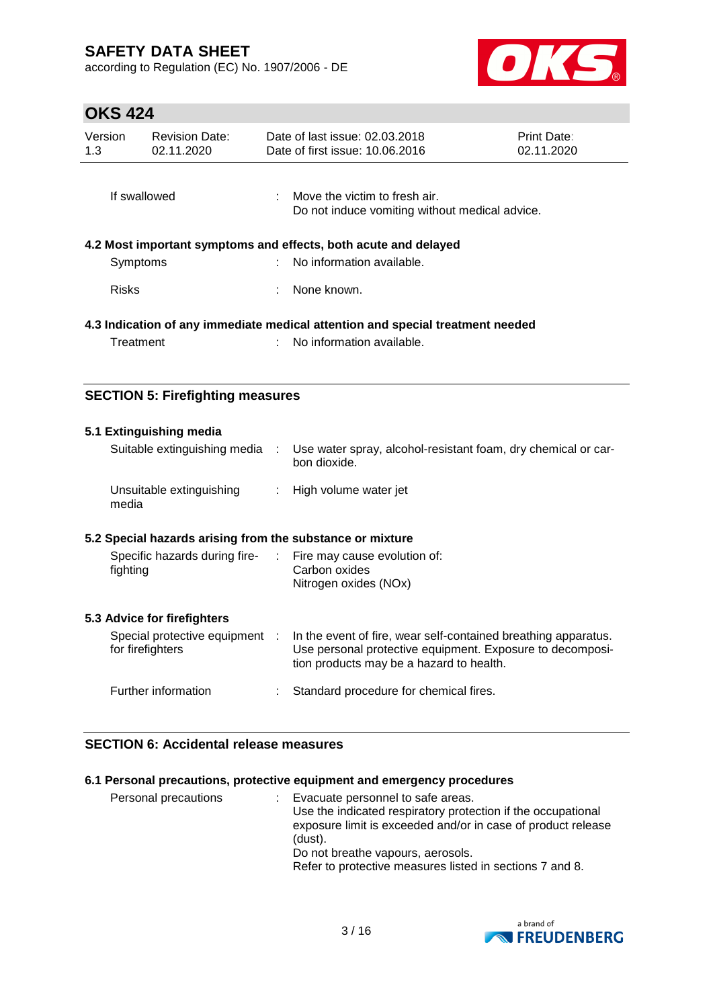according to Regulation (EC) No. 1907/2006 - DE



# **OKS 424**

| Version<br>1.3                                                                 | <b>Revision Date:</b><br>02.11.2020 |  | Date of last issue: 02.03.2018<br>Date of first issue: 10.06.2016               | <b>Print Date:</b><br>02.11.2020 |
|--------------------------------------------------------------------------------|-------------------------------------|--|---------------------------------------------------------------------------------|----------------------------------|
| If swallowed                                                                   |                                     |  | Move the victim to fresh air.<br>Do not induce vomiting without medical advice. |                                  |
| 4.2 Most important symptoms and effects, both acute and delayed<br>Symptoms    |                                     |  | No information available.                                                       |                                  |
| <b>Risks</b>                                                                   |                                     |  | : None known.                                                                   |                                  |
| 4.3 Indication of any immediate medical attention and special treatment needed |                                     |  |                                                                                 |                                  |
| Treatment                                                                      |                                     |  | No information available.                                                       |                                  |

### **SECTION 5: Firefighting measures**

| 5.1 Extinguishing media<br>Suitable extinguishing media                  | ÷ | Use water spray, alcohol-resistant foam, dry chemical or car-<br>bon dioxide.                                                                                           |
|--------------------------------------------------------------------------|---|-------------------------------------------------------------------------------------------------------------------------------------------------------------------------|
| Unsuitable extinguishing<br>media                                        |   | : High volume water jet                                                                                                                                                 |
| 5.2 Special hazards arising from the substance or mixture                |   |                                                                                                                                                                         |
| Specific hazards during fire- : Fire may cause evolution of:<br>fighting |   | Carbon oxides<br>Nitrogen oxides (NOx)                                                                                                                                  |
| 5.3 Advice for firefighters                                              |   |                                                                                                                                                                         |
| Special protective equipment :<br>for firefighters                       |   | In the event of fire, wear self-contained breathing apparatus.<br>Use personal protective equipment. Exposure to decomposi-<br>tion products may be a hazard to health. |
| Further information                                                      |   | Standard procedure for chemical fires.                                                                                                                                  |

### **SECTION 6: Accidental release measures**

### **6.1 Personal precautions, protective equipment and emergency procedures**

| Personal precautions |  | Evacuate personnel to safe areas.<br>Use the indicated respiratory protection if the occupational<br>exposure limit is exceeded and/or in case of product release<br>(dust).<br>Do not breathe vapours, aerosols.<br>Refer to protective measures listed in sections 7 and 8. |
|----------------------|--|-------------------------------------------------------------------------------------------------------------------------------------------------------------------------------------------------------------------------------------------------------------------------------|
|----------------------|--|-------------------------------------------------------------------------------------------------------------------------------------------------------------------------------------------------------------------------------------------------------------------------------|

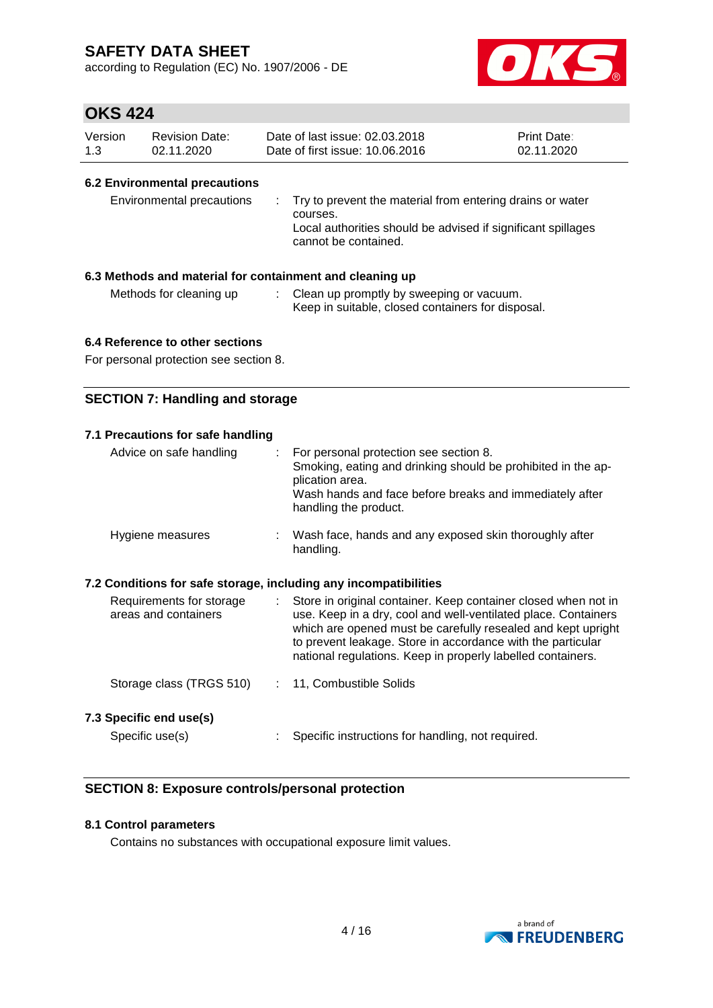according to Regulation (EC) No. 1907/2006 - DE



## **OKS 424**

| Version | <b>Revision Date:</b> | Date of last issue: 02.03.2018  | <b>Print Date:</b> |
|---------|-----------------------|---------------------------------|--------------------|
| 1.3     | 02.11.2020            | Date of first issue: 10.06.2016 | 02.11.2020         |

### **6.2 Environmental precautions**

| Environmental precautions | : Try to prevent the material from entering drains or water<br>courses.<br>Local authorities should be advised if significant spillages<br>cannot be contained. |
|---------------------------|-----------------------------------------------------------------------------------------------------------------------------------------------------------------|
|---------------------------|-----------------------------------------------------------------------------------------------------------------------------------------------------------------|

### **6.3 Methods and material for containment and cleaning up**

Methods for cleaning up : Clean up promptly by sweeping or vacuum. Keep in suitable, closed containers for disposal.

### **6.4 Reference to other sections**

For personal protection see section 8.

### **SECTION 7: Handling and storage**

| 7.1 Precautions for safe handling                                              |                                                                                                                                                                                                                                                                                                                                |  |  |  |
|--------------------------------------------------------------------------------|--------------------------------------------------------------------------------------------------------------------------------------------------------------------------------------------------------------------------------------------------------------------------------------------------------------------------------|--|--|--|
| Advice on safe handling<br>÷.                                                  | For personal protection see section 8.<br>Smoking, eating and drinking should be prohibited in the ap-<br>plication area.<br>Wash hands and face before breaks and immediately after<br>handling the product.                                                                                                                  |  |  |  |
| Hygiene measures                                                               | : Wash face, hands and any exposed skin thoroughly after<br>handling.                                                                                                                                                                                                                                                          |  |  |  |
| 7.2 Conditions for safe storage, including any incompatibilities               |                                                                                                                                                                                                                                                                                                                                |  |  |  |
| Requirements for storage<br>$\mathcal{L}^{\text{max}}$<br>areas and containers | Store in original container. Keep container closed when not in<br>use. Keep in a dry, cool and well-ventilated place. Containers<br>which are opened must be carefully resealed and kept upright<br>to prevent leakage. Store in accordance with the particular<br>national regulations. Keep in properly labelled containers. |  |  |  |
| Storage class (TRGS 510)                                                       | : 11, Combustible Solids                                                                                                                                                                                                                                                                                                       |  |  |  |
| 7.3 Specific end use(s)                                                        |                                                                                                                                                                                                                                                                                                                                |  |  |  |
| Specific use(s)                                                                | Specific instructions for handling, not required.                                                                                                                                                                                                                                                                              |  |  |  |

### **SECTION 8: Exposure controls/personal protection**

### **8.1 Control parameters**

Contains no substances with occupational exposure limit values.

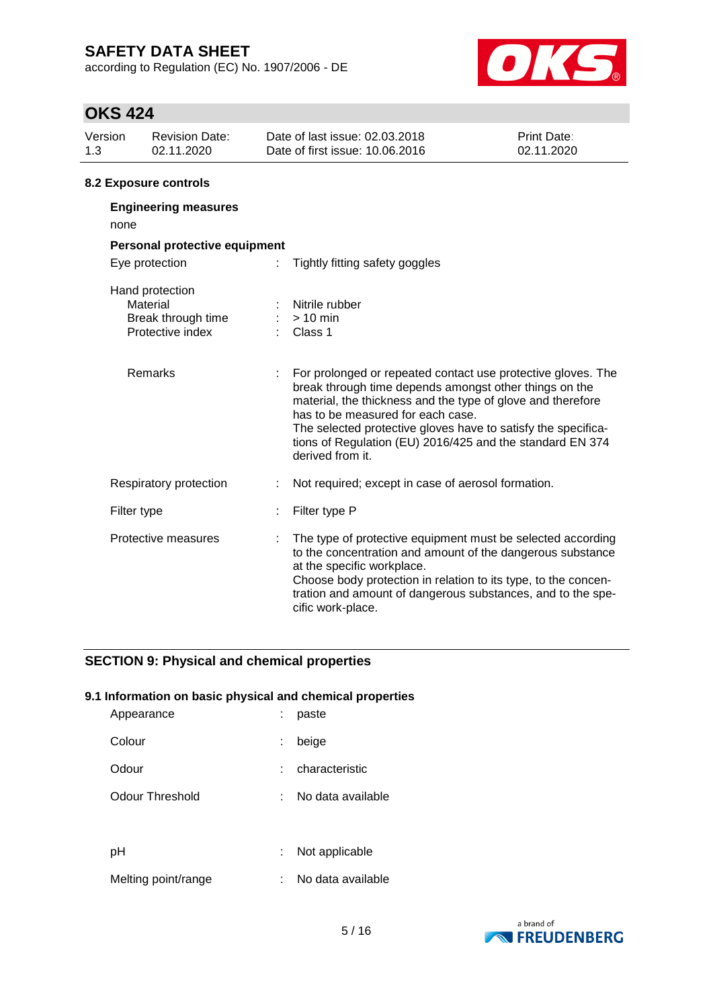according to Regulation (EC) No. 1907/2006 - DE



# **OKS 424**

| Version<br>1.3                                  | <b>Revision Date:</b><br>02.11.2020                                   |  | Date of last issue: 02.03.2018<br>Date of first issue: 10.06.2016                                                                                                                                                                                                                                                                                                            | <b>Print Date:</b><br>02.11.2020 |  |  |
|-------------------------------------------------|-----------------------------------------------------------------------|--|------------------------------------------------------------------------------------------------------------------------------------------------------------------------------------------------------------------------------------------------------------------------------------------------------------------------------------------------------------------------------|----------------------------------|--|--|
|                                                 | 8.2 Exposure controls                                                 |  |                                                                                                                                                                                                                                                                                                                                                                              |                                  |  |  |
| none                                            | <b>Engineering measures</b>                                           |  |                                                                                                                                                                                                                                                                                                                                                                              |                                  |  |  |
| Personal protective equipment<br>Eye protection |                                                                       |  | Tightly fitting safety goggles                                                                                                                                                                                                                                                                                                                                               |                                  |  |  |
|                                                 | Hand protection<br>Material<br>Break through time<br>Protective index |  | Nitrile rubber<br>$:$ > 10 min<br>$\therefore$ Class 1                                                                                                                                                                                                                                                                                                                       |                                  |  |  |
|                                                 | Remarks                                                               |  | For prolonged or repeated contact use protective gloves. The<br>break through time depends amongst other things on the<br>material, the thickness and the type of glove and therefore<br>has to be measured for each case.<br>The selected protective gloves have to satisfy the specifica-<br>tions of Regulation (EU) 2016/425 and the standard EN 374<br>derived from it. |                                  |  |  |

| Respiratory protection |  | Not required; except in case of aerosol formation. |
|------------------------|--|----------------------------------------------------|
|------------------------|--|----------------------------------------------------|

| Protective measures | : The type of protective equipment must be selected according<br>to the concentration and amount of the dangerous substance<br>at the specific workplace.<br>Choose body protection in relation to its type, to the concen- |
|---------------------|-----------------------------------------------------------------------------------------------------------------------------------------------------------------------------------------------------------------------------|
|                     | tration and amount of dangerous substances, and to the spe-<br>cific work-place.                                                                                                                                            |

### **SECTION 9: Physical and chemical properties**

Filter type  $\qquad \qquad : \qquad$  Filter type P

### **9.1 Information on basic physical and chemical properties**

| Appearance          |   | paste             |
|---------------------|---|-------------------|
| Colour              | ÷ | beige             |
| Odour               |   | characteristic    |
| Odour Threshold     |   | No data available |
|                     |   |                   |
| рH                  |   | Not applicable    |
| Melting point/range |   | No data available |

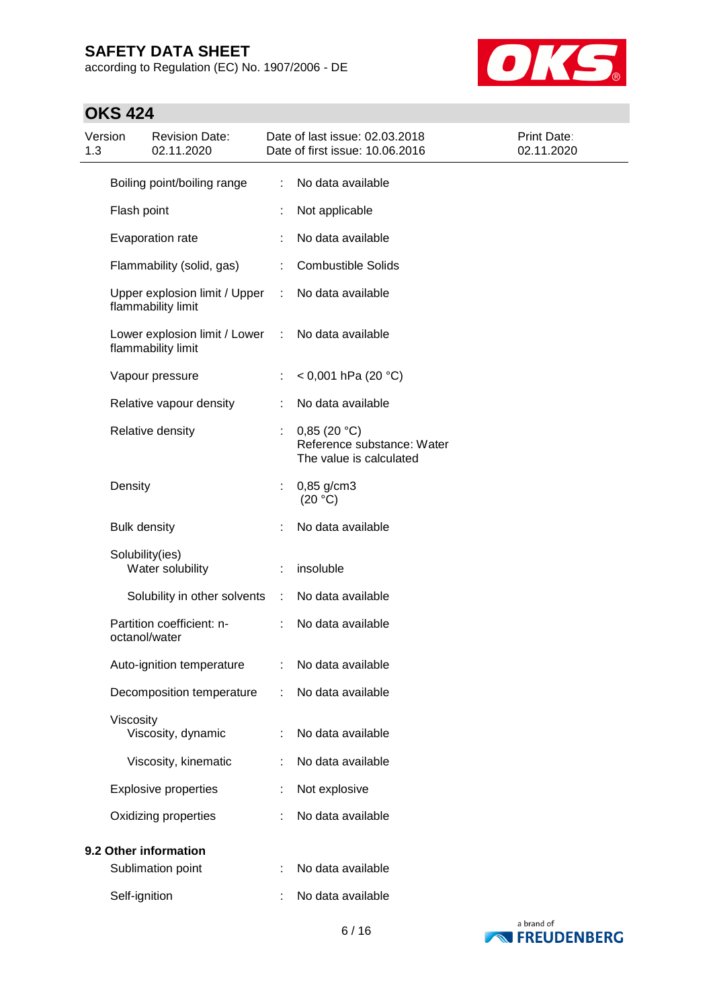according to Regulation (EC) No. 1907/2006 - DE



# **OKS 424**

| Version<br>1.3 |                     | <b>Revision Date:</b><br>02.11.2020                 |   | Date of last issue: 02.03.2018<br>Date of first issue: 10.06.2016    | Print Date:<br>02.11.2020 |
|----------------|---------------------|-----------------------------------------------------|---|----------------------------------------------------------------------|---------------------------|
|                |                     | Boiling point/boiling range                         | ÷ | No data available                                                    |                           |
|                | Flash point         |                                                     |   | Not applicable                                                       |                           |
|                |                     | Evaporation rate                                    |   | No data available                                                    |                           |
|                |                     | Flammability (solid, gas)                           | ÷ | <b>Combustible Solids</b>                                            |                           |
|                |                     | Upper explosion limit / Upper<br>flammability limit | ÷ | No data available                                                    |                           |
|                |                     | Lower explosion limit / Lower<br>flammability limit | ÷ | No data available                                                    |                           |
|                |                     | Vapour pressure                                     |   | $<$ 0,001 hPa (20 °C)                                                |                           |
|                |                     | Relative vapour density                             |   | No data available                                                    |                           |
|                |                     | Relative density                                    | ÷ | 0,85(20 °C)<br>Reference substance: Water<br>The value is calculated |                           |
|                | Density             |                                                     |   | $0,85$ g/cm3<br>(20 °C)                                              |                           |
|                | <b>Bulk density</b> |                                                     |   | No data available                                                    |                           |
|                | Solubility(ies)     | Water solubility                                    |   | insoluble                                                            |                           |
|                |                     | Solubility in other solvents                        | ÷ | No data available                                                    |                           |
|                | octanol/water       | Partition coefficient: n-                           |   | No data available                                                    |                           |
|                |                     | Auto-ignition temperature                           |   | No data available                                                    |                           |
|                |                     | Decomposition temperature                           |   | No data available                                                    |                           |
|                | Viscosity           | Viscosity, dynamic                                  |   | No data available                                                    |                           |
|                |                     | Viscosity, kinematic                                | ÷ | No data available                                                    |                           |
|                |                     | <b>Explosive properties</b>                         |   | Not explosive                                                        |                           |
|                |                     | Oxidizing properties                                |   | No data available                                                    |                           |
|                |                     | 9.2 Other information                               |   |                                                                      |                           |
|                |                     | Sublimation point                                   |   | No data available                                                    |                           |
|                | Self-ignition       |                                                     |   | No data available                                                    |                           |

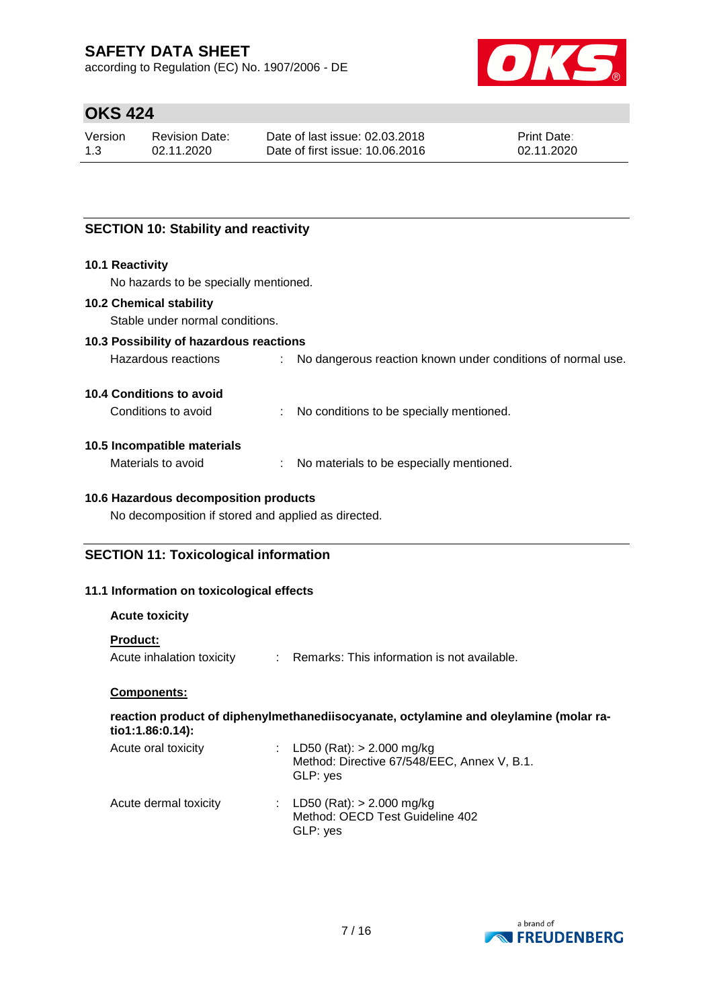according to Regulation (EC) No. 1907/2006 - DE



# **OKS 424**

| Version | Revision Date: | Date of last issue: 02.03.2018  | <b>Print Date:</b> |
|---------|----------------|---------------------------------|--------------------|
| 1.3     | 02.11.2020     | Date of first issue: 10.06.2016 | 02.11.2020         |

### **SECTION 10: Stability and reactivity**

#### **10.1 Reactivity**

No hazards to be specially mentioned.

#### **10.2 Chemical stability**

Stable under normal conditions.

### **10.3 Possibility of hazardous reactions**

| Hazardous reactions |  |  | No dangerous reaction known under conditions of normal use. |
|---------------------|--|--|-------------------------------------------------------------|
|---------------------|--|--|-------------------------------------------------------------|

#### **10.4 Conditions to avoid**

Conditions to avoid : No conditions to be specially mentioned.

#### **10.5 Incompatible materials**

Materials to avoid : No materials to be especially mentioned.

### **10.6 Hazardous decomposition products**

No decomposition if stored and applied as directed.

### **SECTION 11: Toxicological information**

#### **11.1 Information on toxicological effects**

#### **Acute toxicity**

#### **Product:**

Acute inhalation toxicity : Remarks: This information is not available.

#### **Components:**

#### **reaction product of diphenylmethanediisocyanate, octylamine and oleylamine (molar ratio1:1.86:0.14):**  $AD = (D + h)$ : 0.000

| Acute oral toxicity   | $LD50$ (Rat): $> 2.000$ mg/kg<br>Method: Directive 67/548/EEC, Annex V, B.1.<br>GLP: yes |
|-----------------------|------------------------------------------------------------------------------------------|
| Acute dermal toxicity | : LD50 (Rat): $> 2.000$ mg/kg<br>Method: OECD Test Guideline 402<br>GLP: yes             |

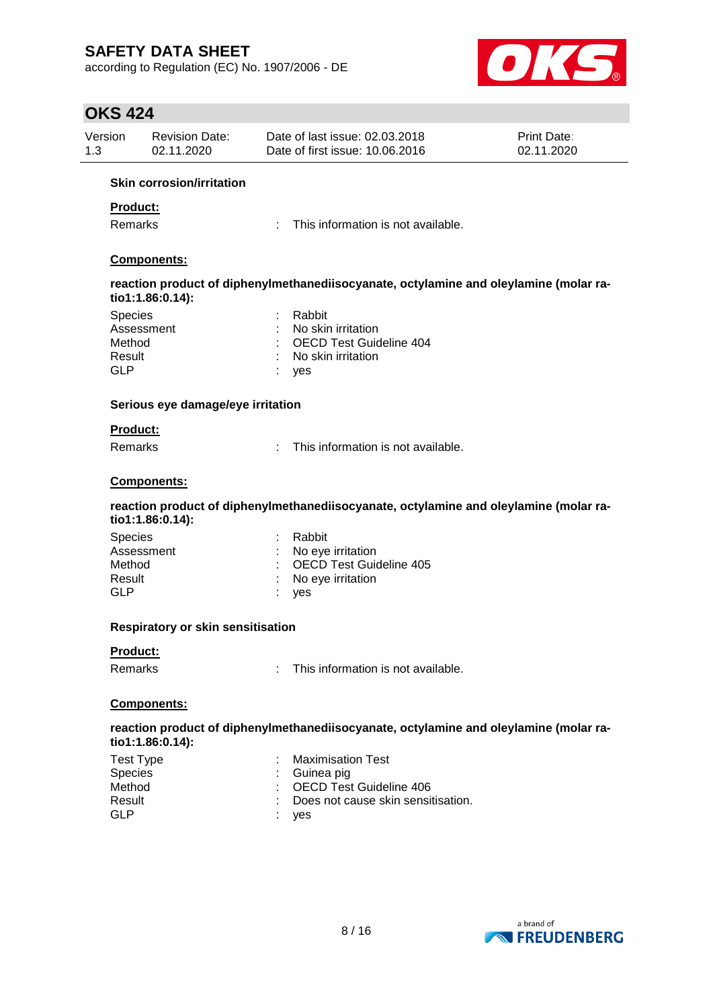according to Regulation (EC) No. 1907/2006 - DE



## **OKS 424**

| Version | <b>Revision Date:</b> | Date of last issue: 02.03.2018  | <b>Print Date:</b> |
|---------|-----------------------|---------------------------------|--------------------|
| 1.3     | 02.11.2020            | Date of first issue: 10.06.2016 | 02.11.2020         |
|         | .                     |                                 |                    |

#### **Skin corrosion/irritation**

### **Product:**

Remarks : This information is not available.

### **Components:**

**reaction product of diphenylmethanediisocyanate, octylamine and oleylamine (molar ratio1:1.86:0.14):**

| <b>Species</b> | : Rabbit                  |
|----------------|---------------------------|
| Assessment     | : No skin irritation      |
| Method         | : OECD Test Guideline 404 |
| Result         | : No skin irritation      |
| GI P           | : yes                     |
|                |                           |

#### **Serious eye damage/eye irritation**

#### **Product:**

Remarks : This information is not available.

#### **Components:**

**reaction product of diphenylmethanediisocyanate, octylamine and oleylamine (molar ratio1:1.86:0.14):**

| <b>Species</b> | : Rabbit                  |
|----------------|---------------------------|
| Assessment     | : No eye irritation       |
| Method         | : OECD Test Guideline 405 |
| Result         | : No eye irritation       |
| GLP            | ves                       |

#### **Respiratory or skin sensitisation**

### **Product:**

Remarks : This information is not available.

#### **Components:**

**reaction product of diphenylmethanediisocyanate, octylamine and oleylamine (molar ratio1:1.86:0.14):**

| Test Type      | : Maximisation Test                  |
|----------------|--------------------------------------|
| <b>Species</b> | $\therefore$ Guinea pig              |
| Method         | : OECD Test Guideline 406            |
| Result         | : Does not cause skin sensitisation. |
| GLP            | : yes                                |

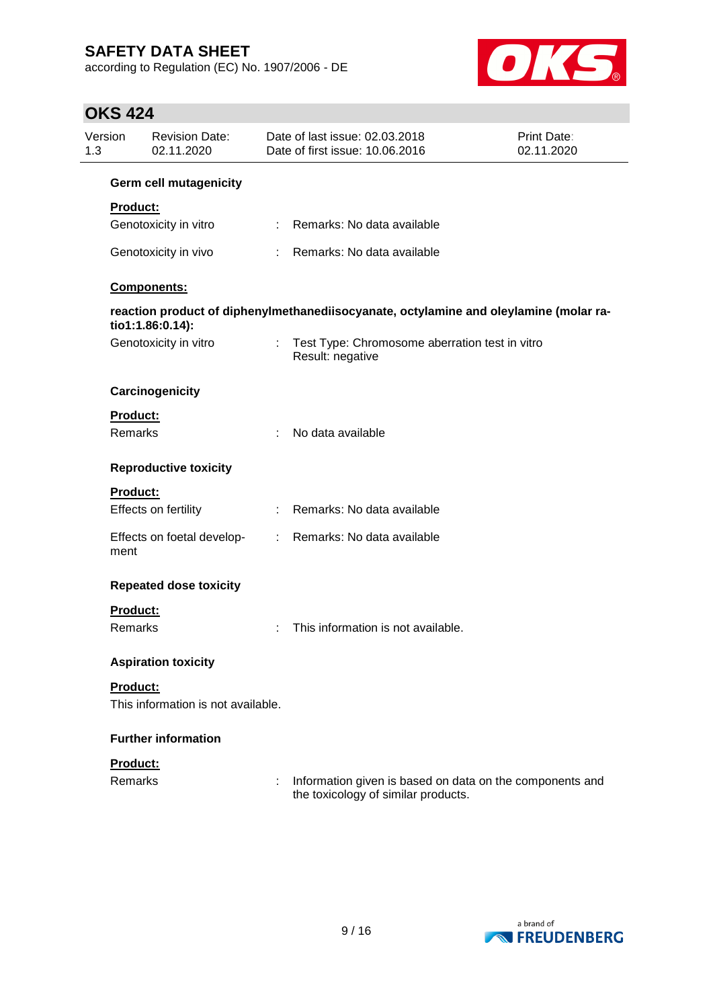according to Regulation (EC) No. 1907/2006 - DE



# **OKS 424**

| Version<br>1.3                    | <b>Revision Date:</b><br>02.11.2020 |                           | Date of last issue: 02.03.2018<br>Date of first issue: 10.06.2016                               | <b>Print Date:</b><br>02.11.2020 |
|-----------------------------------|-------------------------------------|---------------------------|-------------------------------------------------------------------------------------------------|----------------------------------|
|                                   | <b>Germ cell mutagenicity</b>       |                           |                                                                                                 |                                  |
| <b>Product:</b>                   | Genotoxicity in vitro               |                           | : Remarks: No data available                                                                    |                                  |
|                                   | Genotoxicity in vivo                |                           | : Remarks: No data available                                                                    |                                  |
|                                   | Components:                         |                           |                                                                                                 |                                  |
|                                   | tio1:1.86:0.14):                    |                           | reaction product of diphenylmethanediisocyanate, octylamine and oleylamine (molar ra-           |                                  |
|                                   | Genotoxicity in vitro               | $\mathbb{R}^{\mathbb{Z}}$ | Test Type: Chromosome aberration test in vitro<br>Result: negative                              |                                  |
|                                   | Carcinogenicity                     |                           |                                                                                                 |                                  |
| Product:<br><b>Remarks</b>        |                                     |                           | No data available                                                                               |                                  |
|                                   | <b>Reproductive toxicity</b>        |                           |                                                                                                 |                                  |
| <b>Product:</b>                   | Effects on fertility                | ÷.                        | Remarks: No data available                                                                      |                                  |
| ment                              | Effects on foetal develop-          |                           | : Remarks: No data available                                                                    |                                  |
|                                   | <b>Repeated dose toxicity</b>       |                           |                                                                                                 |                                  |
| <b>Product:</b><br><b>Remarks</b> |                                     | ÷                         | This information is not available.                                                              |                                  |
|                                   | <b>Aspiration toxicity</b>          |                           |                                                                                                 |                                  |
| Product:                          | This information is not available.  |                           |                                                                                                 |                                  |
|                                   | <b>Further information</b>          |                           |                                                                                                 |                                  |
| Product:<br>Remarks               |                                     |                           | Information given is based on data on the components and<br>the toxicology of similar products. |                                  |

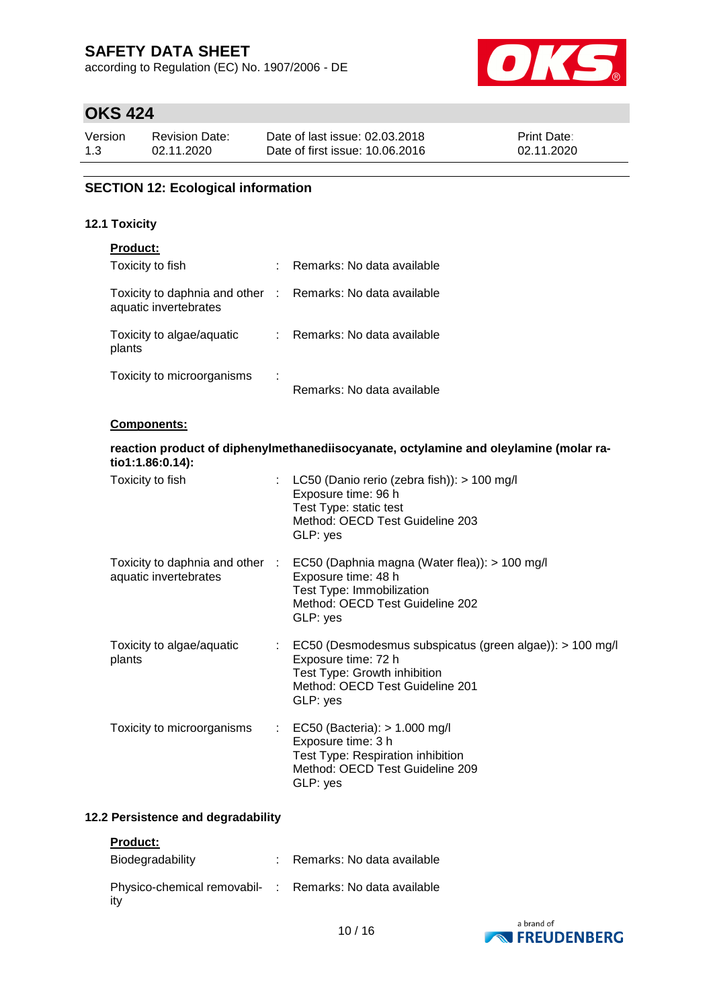according to Regulation (EC) No. 1907/2006 - DE



# **OKS 424**

| Version | <b>Revision Date:</b> | Date of last issue: 02.03.2018  | <b>Print Date:</b> |
|---------|-----------------------|---------------------------------|--------------------|
| 1.3     | 02.11.2020            | Date of first issue: 10.06.2016 | 02.11.2020         |

### **SECTION 12: Ecological information**

### **12.1 Toxicity**

| <b>Product:</b>                                                                     |    |                            |
|-------------------------------------------------------------------------------------|----|----------------------------|
| Toxicity to fish                                                                    | t. | Remarks: No data available |
| Toxicity to daphnia and other : Remarks: No data available<br>aquatic invertebrates |    |                            |
| Toxicity to algae/aquatic<br>plants                                                 |    | Remarks: No data available |
| Toxicity to microorganisms                                                          | ÷  | Remarks: No data available |

#### **Components:**

| tio1:1.86:0.14):                    | reaction product of diphenylmethanediisocyanate, octylamine and oleylamine (molar ra-                                                                                            |
|-------------------------------------|----------------------------------------------------------------------------------------------------------------------------------------------------------------------------------|
| Toxicity to fish                    | : LC50 (Danio rerio (zebra fish)): $> 100$ mg/l<br>Exposure time: 96 h<br>Test Type: static test<br>Method: OECD Test Guideline 203<br>GLP: yes                                  |
| aquatic invertebrates               | Toxicity to daphnia and other : EC50 (Daphnia magna (Water flea)): > 100 mg/l<br>Exposure time: 48 h<br>Test Type: Immobilization<br>Method: OECD Test Guideline 202<br>GLP: yes |
| Toxicity to algae/aquatic<br>plants | : EC50 (Desmodesmus subspicatus (green algae)): > 100 mg/l<br>Exposure time: 72 h<br>Test Type: Growth inhibition<br>Method: OECD Test Guideline 201<br>GLP: yes                 |
| Toxicity to microorganisms          | $\therefore$ EC50 (Bacteria): > 1.000 mg/l<br>Exposure time: 3 h<br>Test Type: Respiration inhibition<br>Method: OECD Test Guideline 209<br>GLP: yes                             |

### **12.2 Persistence and degradability**

#### **Product:**

| Biodegradability                                                | Remarks: No data available |
|-----------------------------------------------------------------|----------------------------|
| Physico-chemical removabil- : Remarks: No data available<br>itv |                            |

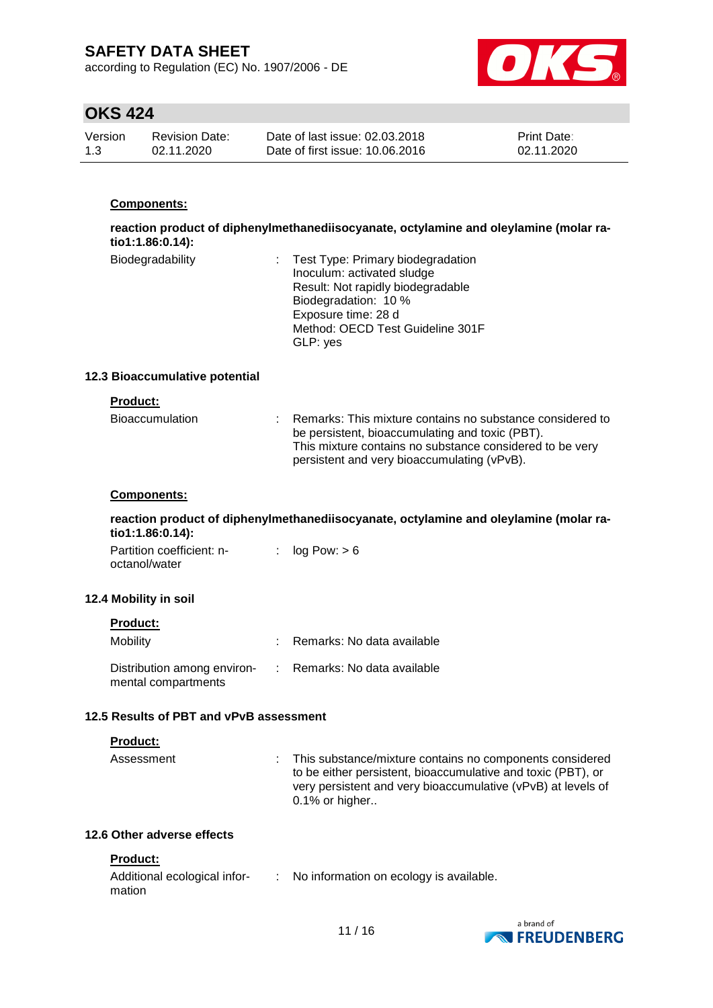according to Regulation (EC) No. 1907/2006 - DE



# **OKS 424**

| Version | Revision Date: | Date of last issue: 02.03.2018  | <b>Print Date:</b> |
|---------|----------------|---------------------------------|--------------------|
| 1.3     | 02.11.2020     | Date of first issue: 10.06.2016 | 02.11.2020         |

### **Components:**

**reaction product of diphenylmethanediisocyanate, octylamine and oleylamine (molar ratio1:1.86:0.14):**

| Biodegradability | : Test Type: Primary biodegradation |
|------------------|-------------------------------------|
|                  | Inoculum: activated sludge          |
|                  | Result: Not rapidly biodegradable   |
|                  | Biodegradation: 10 %                |
|                  | Exposure time: 28 d                 |
|                  | Method: OECD Test Guideline 301F    |
|                  | GLP: yes                            |

#### **12.3 Bioaccumulative potential**

|  |  |  | Product: |
|--|--|--|----------|
|  |  |  |          |

| <b>Bioaccumulation</b> | Remarks: This mixture contains no substance considered to<br>be persistent, bioaccumulating and toxic (PBT).<br>This mixture contains no substance considered to be very<br>persistent and very bioaccumulating (vPvB). |
|------------------------|-------------------------------------------------------------------------------------------------------------------------------------------------------------------------------------------------------------------------|
|                        |                                                                                                                                                                                                                         |

### **Components:**

**reaction product of diphenylmethanediisocyanate, octylamine and oleylamine (molar ratio1:1.86:0.14):**

| Partition coefficient: n- | : $log Pow: > 6$ |
|---------------------------|------------------|
| octanol/water             |                  |

#### **12.4 Mobility in soil**

| <b>Product:</b> |  |
|-----------------|--|
|-----------------|--|

| Mobility                                                                        | : Remarks: No data available |
|---------------------------------------------------------------------------------|------------------------------|
| Distribution among environ- : Remarks: No data available<br>mental compartments |                              |

#### **12.5 Results of PBT and vPvB assessment**

#### **Product:**

| Assessment | : This substance/mixture contains no components considered   |
|------------|--------------------------------------------------------------|
|            | to be either persistent, bioaccumulative and toxic (PBT), or |
|            | very persistent and very bioaccumulative (vPvB) at levels of |
|            | $0.1\%$ or higher                                            |

### **12.6 Other adverse effects**

### **Product:**

| Additional ecological infor- | No information on ecology is available. |
|------------------------------|-----------------------------------------|
| mation                       |                                         |

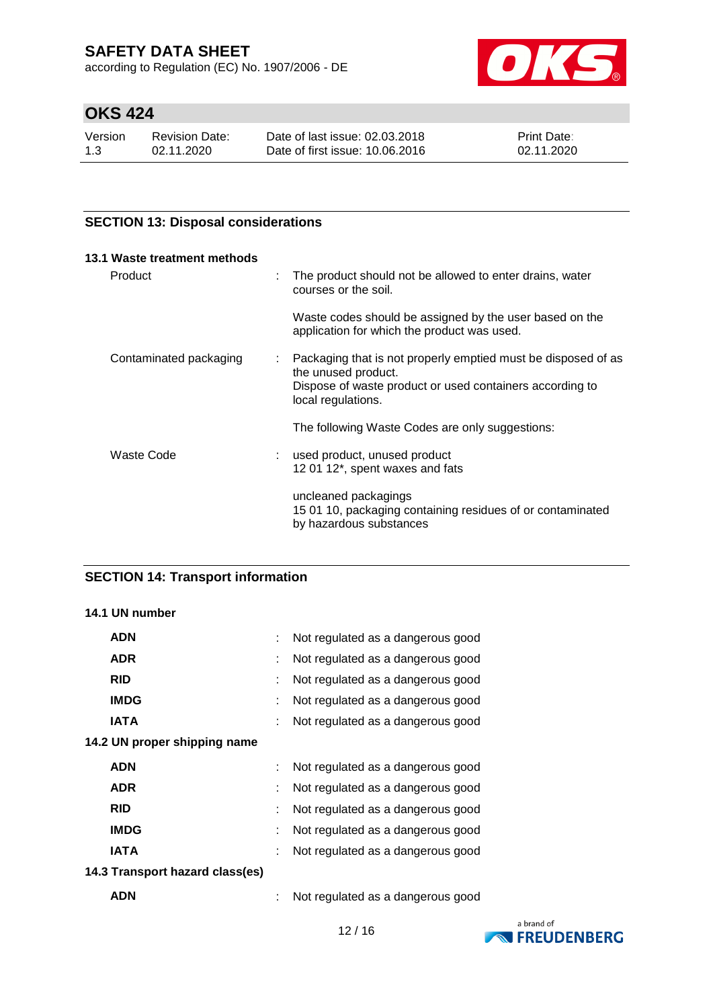according to Regulation (EC) No. 1907/2006 - DE



# **OKS 424**

| Version | <b>Revision Date:</b> | Date of last issue: 02.03.2018  | <b>Print Date:</b> |
|---------|-----------------------|---------------------------------|--------------------|
| 1.3     | 02.11.2020            | Date of first issue: 10.06.2016 | 02.11.2020         |

### **SECTION 13: Disposal considerations**

| 13.1 Waste treatment methods |   |                                                                                                                                                                        |
|------------------------------|---|------------------------------------------------------------------------------------------------------------------------------------------------------------------------|
| Product                      | t | The product should not be allowed to enter drains, water<br>courses or the soil.                                                                                       |
|                              |   | Waste codes should be assigned by the user based on the<br>application for which the product was used.                                                                 |
| Contaminated packaging       |   | Packaging that is not properly emptied must be disposed of as<br>the unused product.<br>Dispose of waste product or used containers according to<br>local regulations. |
|                              |   | The following Waste Codes are only suggestions:                                                                                                                        |
| Waste Code                   |   | used product, unused product<br>12 01 12*, spent waxes and fats                                                                                                        |
|                              |   | uncleaned packagings<br>15 01 10, packaging containing residues of or contaminated<br>by hazardous substances                                                          |

# **SECTION 14: Transport information**

### **14.1 UN number**

|            | <b>ADN</b>                      | Not regulated as a dangerous good |
|------------|---------------------------------|-----------------------------------|
|            | <b>ADR</b>                      | Not regulated as a dangerous good |
| <b>RID</b> |                                 | Not regulated as a dangerous good |
|            | <b>IMDG</b>                     | Not regulated as a dangerous good |
|            | <b>IATA</b>                     | Not regulated as a dangerous good |
|            | 14.2 UN proper shipping name    |                                   |
|            | <b>ADN</b>                      | Not regulated as a dangerous good |
|            | <b>ADR</b>                      | Not regulated as a dangerous good |
| <b>RID</b> |                                 | Not regulated as a dangerous good |
|            | <b>IMDG</b>                     | Not regulated as a dangerous good |
|            | IATA                            | Not regulated as a dangerous good |
|            | 14.3 Transport hazard class(es) |                                   |
|            | <b>ADN</b>                      | Not regulated as a dangerous good |

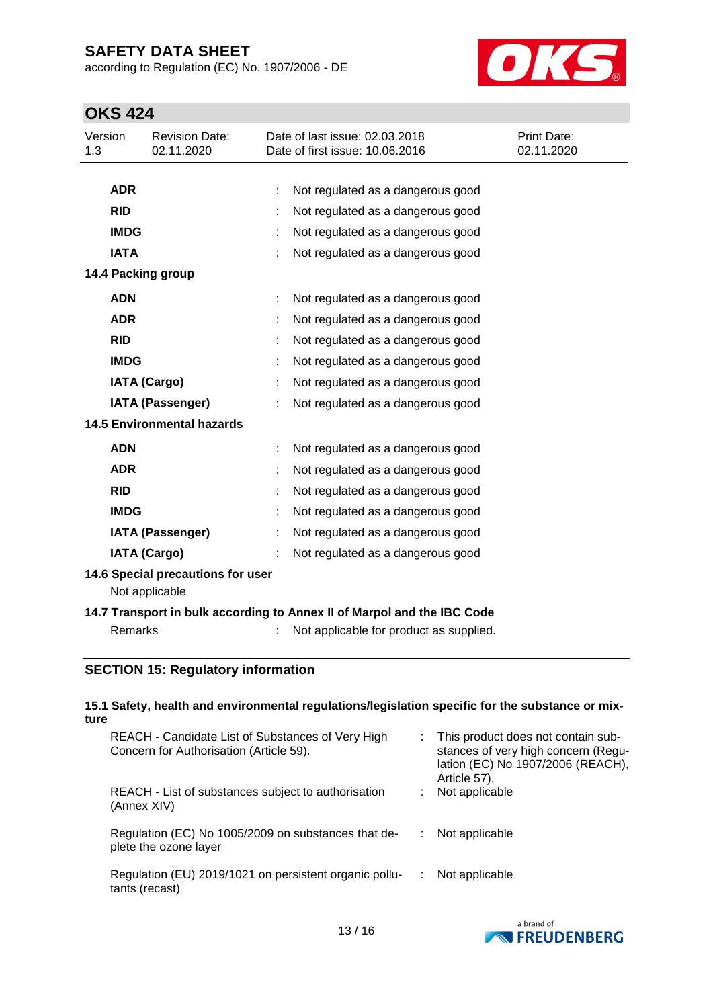according to Regulation (EC) No. 1907/2006 - DE



# **OKS 424**

| Version<br>1.3                    |             | <b>Revision Date:</b><br>02.11.2020 |   | Date of last issue: 02.03.2018<br>Date of first issue: 10.06.2016 | Print Date:<br>02.11.2020 |
|-----------------------------------|-------------|-------------------------------------|---|-------------------------------------------------------------------|---------------------------|
|                                   |             |                                     |   |                                                                   |                           |
|                                   | <b>ADR</b>  |                                     | ÷ | Not regulated as a dangerous good                                 |                           |
|                                   | <b>RID</b>  |                                     |   | Not regulated as a dangerous good                                 |                           |
|                                   | <b>IMDG</b> |                                     |   | Not regulated as a dangerous good                                 |                           |
|                                   | <b>IATA</b> |                                     |   | Not regulated as a dangerous good                                 |                           |
|                                   |             | 14.4 Packing group                  |   |                                                                   |                           |
|                                   | <b>ADN</b>  |                                     |   | Not regulated as a dangerous good                                 |                           |
|                                   | <b>ADR</b>  |                                     |   | Not regulated as a dangerous good                                 |                           |
|                                   | <b>RID</b>  |                                     |   | Not regulated as a dangerous good                                 |                           |
|                                   | <b>IMDG</b> |                                     |   | Not regulated as a dangerous good                                 |                           |
|                                   |             | <b>IATA (Cargo)</b>                 |   | Not regulated as a dangerous good                                 |                           |
|                                   |             | <b>IATA (Passenger)</b>             |   | Not regulated as a dangerous good                                 |                           |
| <b>14.5 Environmental hazards</b> |             |                                     |   |                                                                   |                           |
|                                   | <b>ADN</b>  |                                     |   | Not regulated as a dangerous good                                 |                           |
|                                   | <b>ADR</b>  |                                     |   | Not regulated as a dangerous good                                 |                           |
|                                   | <b>RID</b>  |                                     |   | Not regulated as a dangerous good                                 |                           |
|                                   | <b>IMDG</b> |                                     |   | Not regulated as a dangerous good                                 |                           |
|                                   |             | <b>IATA (Passenger)</b>             |   | Not regulated as a dangerous good                                 |                           |
|                                   |             | <b>IATA (Cargo)</b>                 |   | Not regulated as a dangerous good                                 |                           |
|                                   |             | 14.6 Special precautions for user   |   |                                                                   |                           |

Not applicable

### **14.7 Transport in bulk according to Annex II of Marpol and the IBC Code**

Remarks : Not applicable for product as supplied.

### **SECTION 15: Regulatory information**

#### **15.1 Safety, health and environmental regulations/legislation specific for the substance or mixture**

| REACH - Candidate List of Substances of Very High<br>Concern for Authorisation (Article 59). | : This product does not contain sub-<br>stances of very high concern (Regu-<br>lation (EC) No 1907/2006 (REACH),<br>Article 57). |
|----------------------------------------------------------------------------------------------|----------------------------------------------------------------------------------------------------------------------------------|
| REACH - List of substances subject to authorisation<br>(Annex XIV)                           | Not applicable                                                                                                                   |
| Regulation (EC) No 1005/2009 on substances that de-<br>plete the ozone layer                 | Not applicable                                                                                                                   |
| Regulation (EU) 2019/1021 on persistent organic pollu-<br>tants (recast)                     | Not applicable                                                                                                                   |

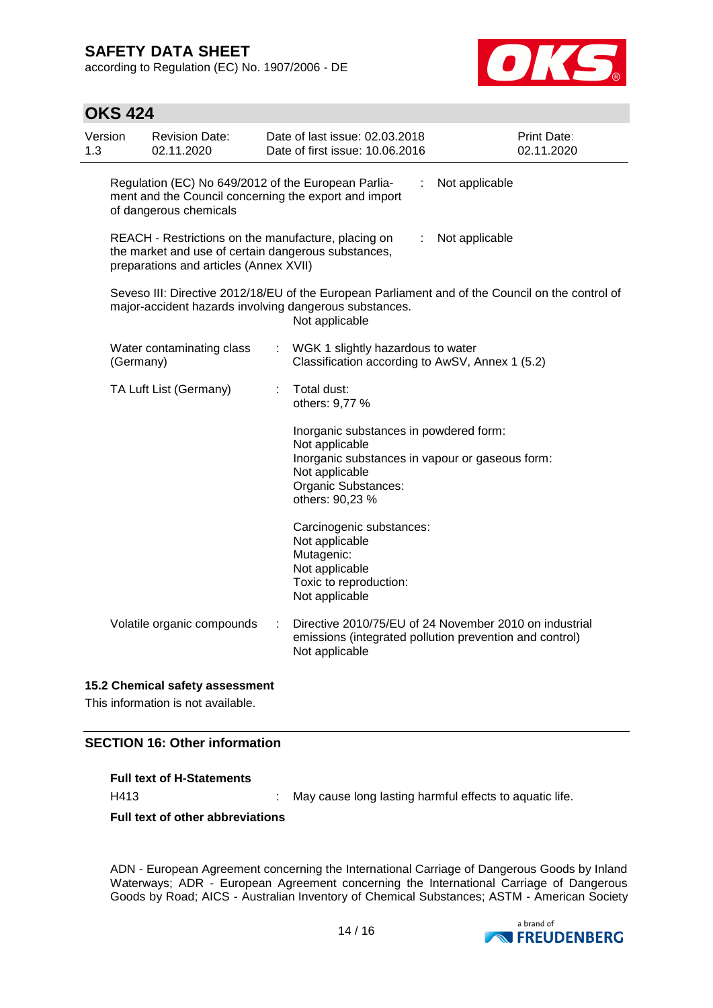**OKS 424**

according to Regulation (EC) No. 1907/2006 - DE



| Version<br>1.3 | <b>Revision Date:</b><br>02.11.2020                                                                                                                  |   | Date of last issue: 02.03.2018<br>Date of first issue: 10.06.2016                                                                                                       | <b>Print Date:</b><br>02.11.2020                                                                                  |
|----------------|------------------------------------------------------------------------------------------------------------------------------------------------------|---|-------------------------------------------------------------------------------------------------------------------------------------------------------------------------|-------------------------------------------------------------------------------------------------------------------|
|                | Regulation (EC) No 649/2012 of the European Parlia-<br>ment and the Council concerning the export and import<br>of dangerous chemicals               |   | ÷                                                                                                                                                                       | Not applicable                                                                                                    |
|                | REACH - Restrictions on the manufacture, placing on<br>the market and use of certain dangerous substances,<br>preparations and articles (Annex XVII) |   | ÷                                                                                                                                                                       | Not applicable                                                                                                    |
|                | major-accident hazards involving dangerous substances.                                                                                               |   | Not applicable                                                                                                                                                          | Seveso III: Directive 2012/18/EU of the European Parliament and of the Council on the control of                  |
|                | Water contaminating class<br>(Germany)                                                                                                               |   | WGK 1 slightly hazardous to water<br>Classification according to AwSV, Annex 1 (5.2)                                                                                    |                                                                                                                   |
|                | TA Luft List (Germany)                                                                                                                               | ÷ | Total dust:<br>others: 9,77 %                                                                                                                                           |                                                                                                                   |
|                |                                                                                                                                                      |   | Inorganic substances in powdered form:<br>Not applicable<br>Inorganic substances in vapour or gaseous form:<br>Not applicable<br>Organic Substances:<br>others: 90,23 % |                                                                                                                   |
|                |                                                                                                                                                      |   | Carcinogenic substances:<br>Not applicable<br>Mutagenic:<br>Not applicable<br>Toxic to reproduction:<br>Not applicable                                                  |                                                                                                                   |
|                | Volatile organic compounds                                                                                                                           | ÷ | Not applicable                                                                                                                                                          | Directive 2010/75/EU of 24 November 2010 on industrial<br>emissions (integrated pollution prevention and control) |

#### **15.2 Chemical safety assessment**

This information is not available.

### **SECTION 16: Other information**

|  | <b>Full text of H-Statements</b> |
|--|----------------------------------|
|--|----------------------------------|

H413 : May cause long lasting harmful effects to aquatic life.

**Full text of other abbreviations**

ADN - European Agreement concerning the International Carriage of Dangerous Goods by Inland Waterways; ADR - European Agreement concerning the International Carriage of Dangerous Goods by Road; AICS - Australian Inventory of Chemical Substances; ASTM - American Society

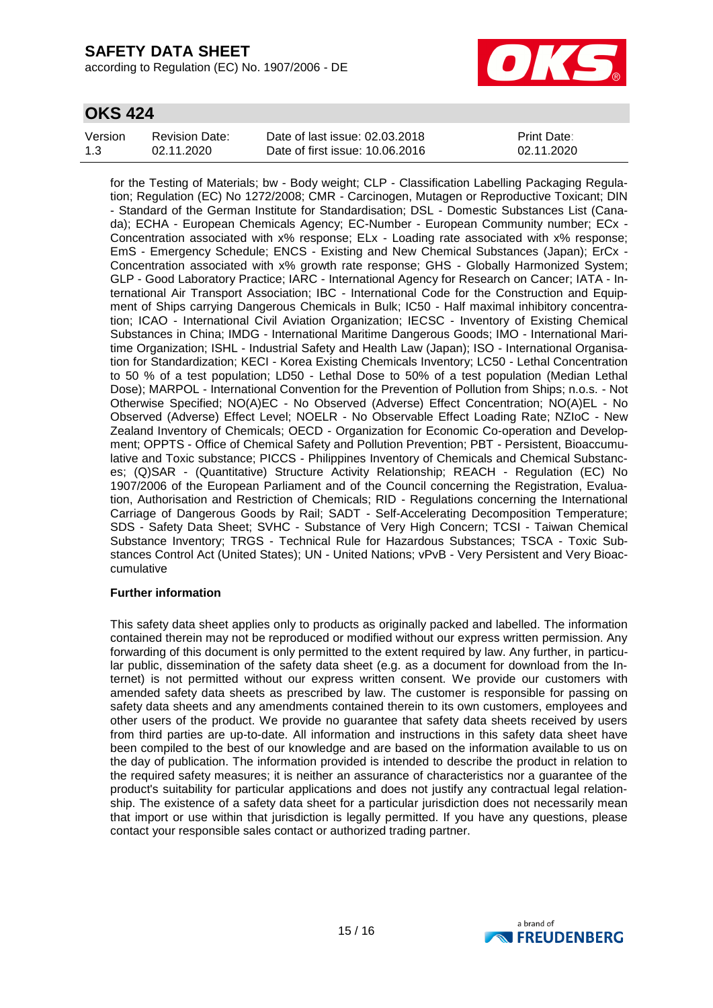according to Regulation (EC) No. 1907/2006 - DE



## **OKS 424**

| Version | Revision Date: | Date of last issue: 02.03.2018  | <b>Print Date:</b> |
|---------|----------------|---------------------------------|--------------------|
| 1.3     | 02.11.2020     | Date of first issue: 10.06.2016 | 02.11.2020         |

for the Testing of Materials; bw - Body weight; CLP - Classification Labelling Packaging Regulation; Regulation (EC) No 1272/2008; CMR - Carcinogen, Mutagen or Reproductive Toxicant; DIN - Standard of the German Institute for Standardisation; DSL - Domestic Substances List (Canada); ECHA - European Chemicals Agency; EC-Number - European Community number; ECx - Concentration associated with x% response; ELx - Loading rate associated with x% response; EmS - Emergency Schedule; ENCS - Existing and New Chemical Substances (Japan); ErCx - Concentration associated with x% growth rate response; GHS - Globally Harmonized System; GLP - Good Laboratory Practice; IARC - International Agency for Research on Cancer; IATA - International Air Transport Association; IBC - International Code for the Construction and Equipment of Ships carrying Dangerous Chemicals in Bulk; IC50 - Half maximal inhibitory concentration; ICAO - International Civil Aviation Organization; IECSC - Inventory of Existing Chemical Substances in China; IMDG - International Maritime Dangerous Goods; IMO - International Maritime Organization; ISHL - Industrial Safety and Health Law (Japan); ISO - International Organisation for Standardization; KECI - Korea Existing Chemicals Inventory; LC50 - Lethal Concentration to 50 % of a test population; LD50 - Lethal Dose to 50% of a test population (Median Lethal Dose); MARPOL - International Convention for the Prevention of Pollution from Ships; n.o.s. - Not Otherwise Specified; NO(A)EC - No Observed (Adverse) Effect Concentration; NO(A)EL - No Observed (Adverse) Effect Level; NOELR - No Observable Effect Loading Rate; NZIoC - New Zealand Inventory of Chemicals; OECD - Organization for Economic Co-operation and Development; OPPTS - Office of Chemical Safety and Pollution Prevention; PBT - Persistent, Bioaccumulative and Toxic substance; PICCS - Philippines Inventory of Chemicals and Chemical Substances; (Q)SAR - (Quantitative) Structure Activity Relationship; REACH - Regulation (EC) No 1907/2006 of the European Parliament and of the Council concerning the Registration, Evaluation, Authorisation and Restriction of Chemicals; RID - Regulations concerning the International Carriage of Dangerous Goods by Rail; SADT - Self-Accelerating Decomposition Temperature; SDS - Safety Data Sheet; SVHC - Substance of Very High Concern; TCSI - Taiwan Chemical Substance Inventory; TRGS - Technical Rule for Hazardous Substances; TSCA - Toxic Substances Control Act (United States); UN - United Nations; vPvB - Very Persistent and Very Bioaccumulative

#### **Further information**

This safety data sheet applies only to products as originally packed and labelled. The information contained therein may not be reproduced or modified without our express written permission. Any forwarding of this document is only permitted to the extent required by law. Any further, in particular public, dissemination of the safety data sheet (e.g. as a document for download from the Internet) is not permitted without our express written consent. We provide our customers with amended safety data sheets as prescribed by law. The customer is responsible for passing on safety data sheets and any amendments contained therein to its own customers, employees and other users of the product. We provide no guarantee that safety data sheets received by users from third parties are up-to-date. All information and instructions in this safety data sheet have been compiled to the best of our knowledge and are based on the information available to us on the day of publication. The information provided is intended to describe the product in relation to the required safety measures; it is neither an assurance of characteristics nor a guarantee of the product's suitability for particular applications and does not justify any contractual legal relationship. The existence of a safety data sheet for a particular jurisdiction does not necessarily mean that import or use within that jurisdiction is legally permitted. If you have any questions, please contact your responsible sales contact or authorized trading partner.